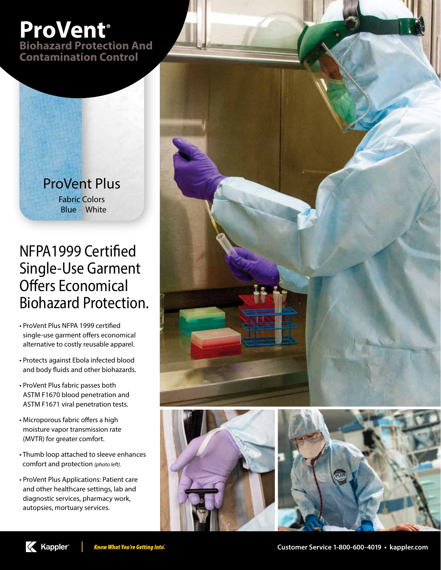## **ProVent® Biohazard Protection And**

**Contamination Control**

ProVent Plus Fabric Colors Blue White

## NFPA1999 Certified Single-Use Garment Offers Economical Biohazard Protection.

- ProVent Plus NFPA 1999 certified single-use garment offers economical alternative to costly reusable apparel.
- Protects against Ebola infected blood and body fluids and other biohazards.
- ProVent Plus fabric passes both ASTM F1670 blood penetration and ASTM F1671 viral penetration tests.
- Microporous fabric offers a high moisture vapor transmission rate (MVTR) for greater comfort.
- Thumb loop attached to sleeve enhances comfort and protection *(photo left).*
- ProVent Plus Applications: Patient care and other healthcare settings, lab and diagnostic services, pharmacy work, autopsies, mortuary services.